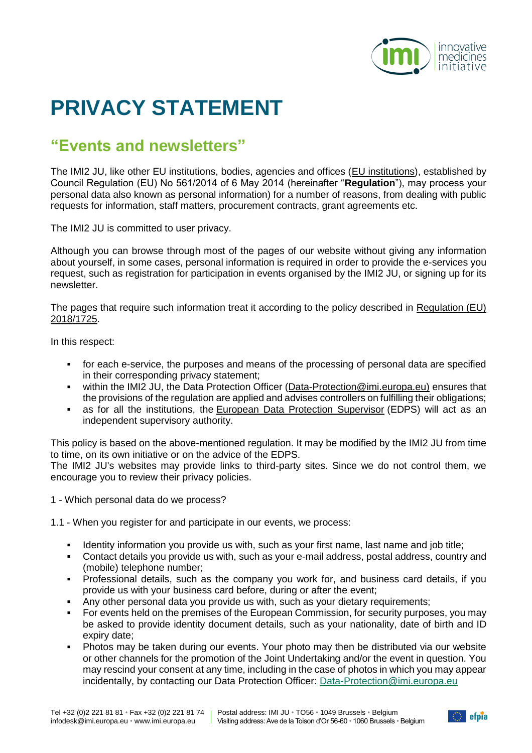

## **PRIVACY STATEMENT**

## **"Events and newsletters"**

The IMI2 JU, like other EU institutions, bodies, agencies and offices [\(EU institutions\)](https://europa.eu/european-union/about-eu/institutions-bodies_en), established by Council Regulation (EU) No 561/2014 of 6 May 2014 (hereinafter "**Regulation**"), may process your personal data also known as personal information) for a number of reasons, from dealing with public requests for information, staff matters, procurement contracts, grant agreements etc.

The IMI2 JU is committed to user privacy.

Although you can browse through most of the pages of our website without giving any information about yourself, in some cases, personal information is required in order to provide the e-services you request, such as registration for participation in events organised by the IMI2 JU, or signing up for its newsletter.

The pages that require such information treat it according to the policy described in Regulation (EU) [2018/1725.](https://eur-lex.europa.eu/legal-content/EN/TXT/?uri=uriserv:OJ.L_.2018.295.01.0039.01.ENG&toc=OJ:L:2018:295:TOC)

In this respect:

- for each e-service, the purposes and means of the processing of personal data are specified in their corresponding privacy statement;
- within the IMI2 JU, the Data Protection Officer (Data-Protection@imi.europa.eu) ensures that the provisions of the regulation are applied and advises controllers on fulfilling their obligations;
- as for all the institutions, the [European Data Protection Supervisor](https://secure.edps.europa.eu/EDPSWEB/edps/EDPS/cache/offonce?lang=en) (EDPS) will act as an independent supervisory authority.

This policy is based on the above-mentioned regulation. It may be modified by the IMI2 JU from time to time, on its own initiative or on the advice of the EDPS.

The IMI2 JU's websites may provide links to third-party sites. Since we do not control them, we encourage you to review their privacy policies.

1 - Which personal data do we process?

1.1 - When you register for and participate in our events, we process:

- Identity information you provide us with, such as your first name, last name and job title;
- Contact details you provide us with, such as your e-mail address, postal address, country and (mobile) telephone number;
- Professional details, such as the company you work for, and business card details, if you provide us with your business card before, during or after the event;
- Any other personal data you provide us with, such as your dietary requirements;
- For events held on the premises of the European Commission, for security purposes, you may be asked to provide identity document details, such as your nationality, date of birth and ID expiry date;
- Photos may be taken during our events. Your photo may then be distributed via our website or other channels for the promotion of the Joint Undertaking and/or the event in question. You may rescind your consent at any time, including in the case of photos in which you may appear incidentally, by contacting our Data Protection Officer: [Data-Protection@imi.europa.eu](mailto:Data-Protection@imi.europa.eu)

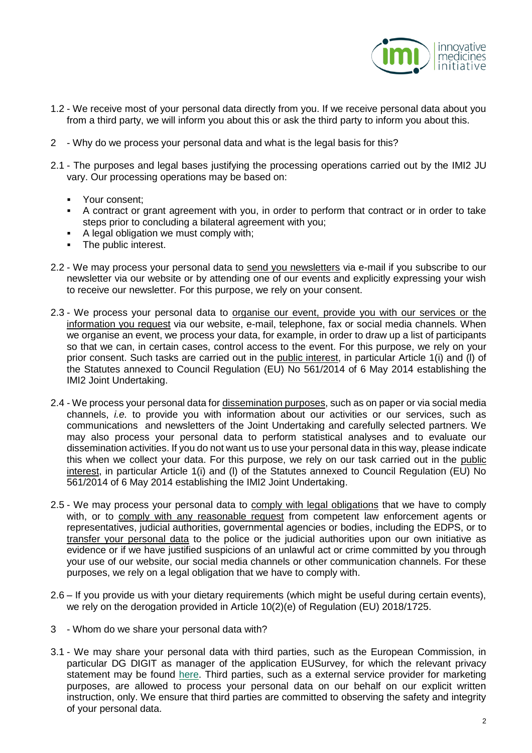

- 1.2 We receive most of your personal data directly from you. If we receive personal data about you from a third party, we will inform you about this or ask the third party to inform you about this.
- 2 Why do we process your personal data and what is the legal basis for this?
- 2.1 The purposes and legal bases justifying the processing operations carried out by the IMI2 JU vary. Our processing operations may be based on:
	- Your consent;
	- A contract or grant agreement with you, in order to perform that contract or in order to take steps prior to concluding a bilateral agreement with you;
	- A legal obligation we must comply with;
	- The public interest.
- 2.2 We may process your personal data to send you newsletters via e-mail if you subscribe to our newsletter via our website or by attending one of our events and explicitly expressing your wish to receive our newsletter. For this purpose, we rely on your consent.
- 2.3 We process your personal data to organise our event, provide you with our services or the information you request via our website, e-mail, telephone, fax or social media channels. When we organise an event, we process your data, for example, in order to draw up a list of participants so that we can, in certain cases, control access to the event. For this purpose, we rely on your prior consent. Such tasks are carried out in the public interest, in particular Article 1(i) and (l) of the Statutes annexed to Council Regulation (EU) No 561/2014 of 6 May 2014 establishing the IMI2 Joint Undertaking.
- 2.4 We process your personal data for dissemination purposes, such as on paper or via social media channels, *i.e.* to provide you with information about our activities or our services, such as communications and newsletters of the Joint Undertaking and carefully selected partners. We may also process your personal data to perform statistical analyses and to evaluate our dissemination activities. If you do not want us to use your personal data in this way, please indicate this when we collect your data. For this purpose, we rely on our task carried out in the public interest, in particular Article 1(i) and (l) of the Statutes annexed to Council Regulation (EU) No 561/2014 of 6 May 2014 establishing the IMI2 Joint Undertaking.
- 2.5 We may process your personal data to comply with legal obligations that we have to comply with, or to comply with any reasonable request from competent law enforcement agents or representatives, judicial authorities, governmental agencies or bodies, including the EDPS, or to transfer your personal data to the police or the judicial authorities upon our own initiative as evidence or if we have justified suspicions of an unlawful act or crime committed by you through your use of our website, our social media channels or other communication channels. For these purposes, we rely on a legal obligation that we have to comply with.
- 2.6 If you provide us with your dietary requirements (which might be useful during certain events), we rely on the derogation provided in Article 10(2)(e) of Regulation (EU) 2018/1725.
- 3 Whom do we share your personal data with?
- 3.1 We may share your personal data with third parties, such as the European Commission, in particular DG DIGIT as manager of the application EUSurvey, for which the relevant privacy statement may be found [here.](https://ec.europa.eu/eusurvey/home/privacystatement) Third parties, such as a external service provider for marketing purposes, are allowed to process your personal data on our behalf on our explicit written instruction, only. We ensure that third parties are committed to observing the safety and integrity of your personal data.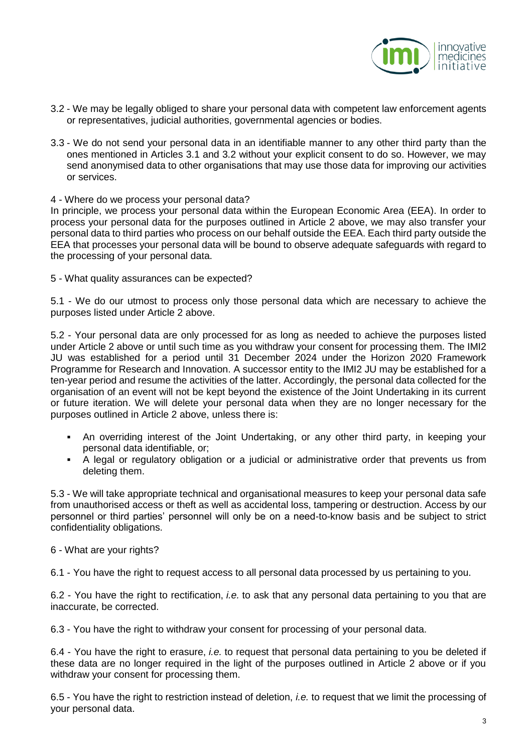

- 3.2 We may be legally obliged to share your personal data with competent law enforcement agents or representatives, judicial authorities, governmental agencies or bodies.
- 3.3 We do not send your personal data in an identifiable manner to any other third party than the ones mentioned in Articles 3.1 and 3.2 without your explicit consent to do so. However, we may send anonymised data to other organisations that may use those data for improving our activities or services.

## 4 - Where do we process your personal data?

In principle, we process your personal data within the European Economic Area (EEA). In order to process your personal data for the purposes outlined in Article 2 above, we may also transfer your personal data to third parties who process on our behalf outside the EEA. Each third party outside the EEA that processes your personal data will be bound to observe adequate safeguards with regard to the processing of your personal data.

5 - What quality assurances can be expected?

5.1 - We do our utmost to process only those personal data which are necessary to achieve the purposes listed under Article 2 above.

5.2 - Your personal data are only processed for as long as needed to achieve the purposes listed under Article 2 above or until such time as you withdraw your consent for processing them. The IMI2 JU was established for a period until 31 December 2024 under the Horizon 2020 Framework Programme for Research and Innovation. A successor entity to the IMI2 JU may be established for a ten-year period and resume the activities of the latter. Accordingly, the personal data collected for the organisation of an event will not be kept beyond the existence of the Joint Undertaking in its current or future iteration. We will delete your personal data when they are no longer necessary for the purposes outlined in Article 2 above, unless there is:

- An overriding interest of the Joint Undertaking, or any other third party, in keeping your personal data identifiable, or;
- A legal or regulatory obligation or a judicial or administrative order that prevents us from deleting them.

5.3 - We will take appropriate technical and organisational measures to keep your personal data safe from unauthorised access or theft as well as accidental loss, tampering or destruction. Access by our personnel or third parties' personnel will only be on a need-to-know basis and be subject to strict confidentiality obligations.

## 6 - What are your rights?

6.1 - You have the right to request access to all personal data processed by us pertaining to you.

6.2 - You have the right to rectification, *i.e.* to ask that any personal data pertaining to you that are inaccurate, be corrected.

6.3 - You have the right to withdraw your consent for processing of your personal data.

6.4 - You have the right to erasure, *i.e.* to request that personal data pertaining to you be deleted if these data are no longer required in the light of the purposes outlined in Article 2 above or if you withdraw your consent for processing them.

6.5 - You have the right to restriction instead of deletion, *i.e.* to request that we limit the processing of your personal data.